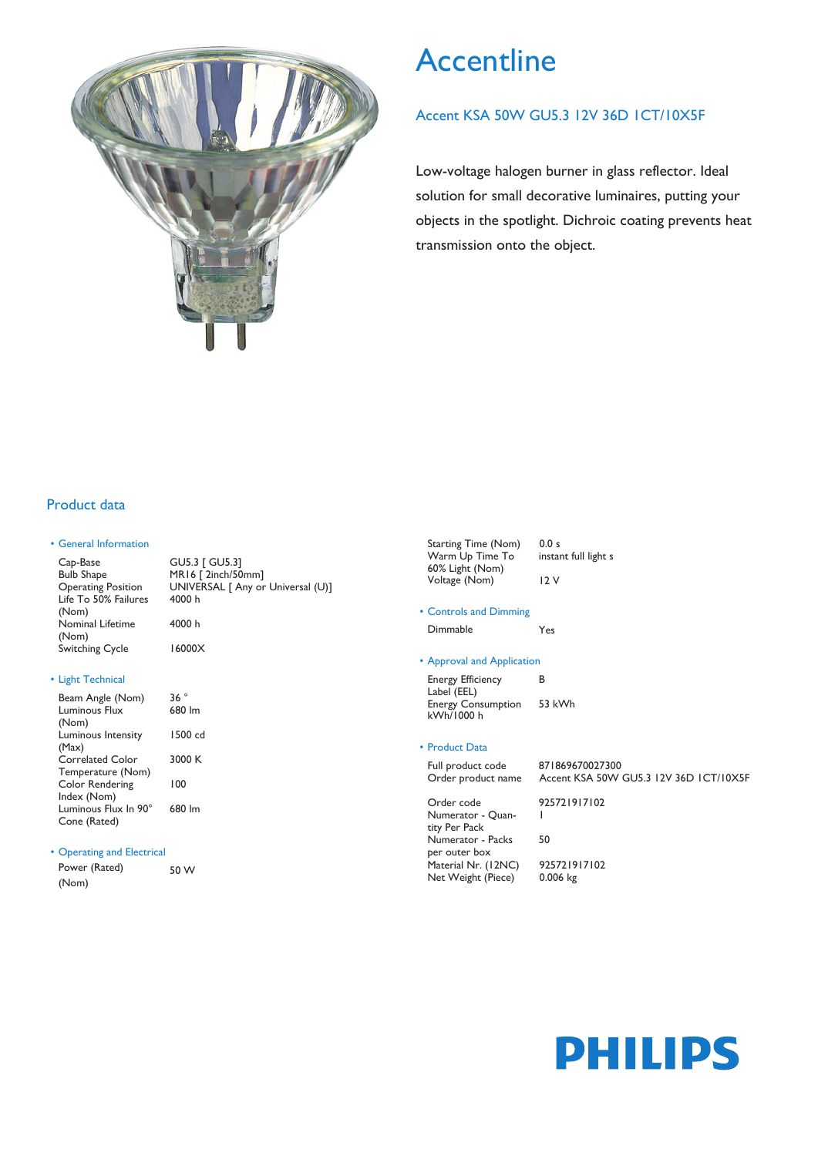

# **Accentline**

### Accent KSA 50W GU5.3 12V 36D 1CT/10X5F

Low-voltage halogen burner in glass reflector. Ideal solution for small decorative luminaires, putting your objects in the spotlight. Dichroic coating prevents heat transmission onto the object.

### Product data

### • General Information

GU5.3 [ GU5.3] MR16 [ 2inch/50mm] UNIVERSAL [ Any or Universal (U)] 4000 h 4000 h Cap-Base Bulb Shape Operating Position Life To 50% Failures (Nom) Nominal Lifetime (Nom) Switching Cycle 16000X

### • Light Technical

| Beam Angle (Nom)       | 36°     |
|------------------------|---------|
| Luminous Flux          | 680 lm  |
| (Nom)                  |         |
| Luminous Intensity     | 1500 cd |
| (Max)                  |         |
| Correlated Color       | 3000 K  |
| Temperature (Nom)      |         |
| <b>Color Rendering</b> | 100     |
| Index (Nom)            |         |
| Luminous Flux In 90°   | 680 lm  |
| Cone (Rated)           |         |

### • Operating and Electrical

| Power (Rated) | 50 W |
|---------------|------|
| (Nom)         |      |

| Starting Time (Nom) | 0.0 s                |
|---------------------|----------------------|
| Warm Up Time To     | instant full light s |
| 60% Light (Nom)     |                      |
| Voltage (Nom)       | 12 V                 |

• Controls and Dimming Dimmable Yes

### • Approval and Application

Energy Efficiency B Label (EEL) Energy Consumption kWh/1000 h 53 kWh

### • Product Data

Net Weight (Piece)

| Full product code<br>Order product name       | 871869670027300<br>Accent KSA 50W GU5.3 12V 36D ICT/I0X5F |
|-----------------------------------------------|-----------------------------------------------------------|
| Order code                                    | 925721917102                                              |
| Numerator - Quan-                             |                                                           |
| tity Per Pack                                 |                                                           |
| Numerator - Packs                             | 50                                                        |
| per outer box                                 |                                                           |
| $M \rightarrow I N I \rightarrow I N N I N N$ | 005701017100                                              |

## Material Nr. (12NC) 925721917102<br>Net Weight (Piece) 0.006 kg